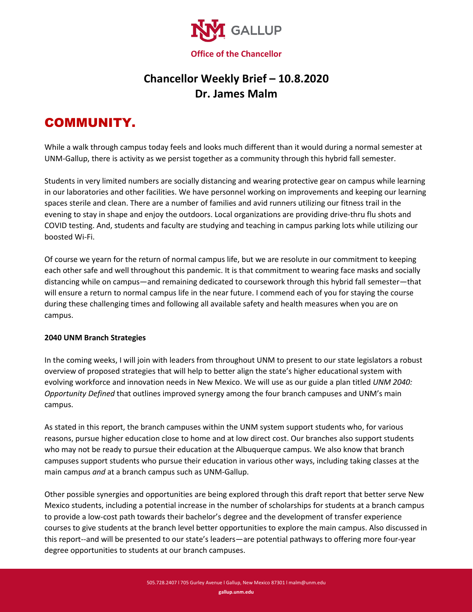

## **Chancellor Weekly Brief – 10.8.2020 Dr. James Malm**

## COMMUNITY.

While a walk through campus today feels and looks much different than it would during a normal semester at UNM-Gallup, there is activity as we persist together as a community through this hybrid fall semester.

Students in very limited numbers are socially distancing and wearing protective gear on campus while learning in our laboratories and other facilities. We have personnel working on improvements and keeping our learning spaces sterile and clean. There are a number of families and avid runners utilizing our fitness trail in the evening to stay in shape and enjoy the outdoors. Local organizations are providing drive-thru flu shots and COVID testing. And, students and faculty are studying and teaching in campus parking lots while utilizing our boosted Wi-Fi.

Of course we yearn for the return of normal campus life, but we are resolute in our commitment to keeping each other safe and well throughout this pandemic. It is that commitment to wearing face masks and socially distancing while on campus—and remaining dedicated to coursework through this hybrid fall semester—that will ensure a return to normal campus life in the near future. I commend each of you for staying the course during these challenging times and following all available safety and health measures when you are on campus.

## **2040 UNM Branch Strategies**

In the coming weeks, I will join with leaders from throughout UNM to present to our state legislators a robust overview of proposed strategies that will help to better align the state's higher educational system with evolving workforce and innovation needs in New Mexico. We will use as our guide a plan titled *UNM 2040: Opportunity Defined* that outlines improved synergy among the four branch campuses and UNM's main campus.

As stated in this report, the branch campuses within the UNM system support students who, for various reasons, pursue higher education close to home and at low direct cost. Our branches also support students who may not be ready to pursue their education at the Albuquerque campus. We also know that branch campuses support students who pursue their education in various other ways, including taking classes at the main campus *and* at a branch campus such as UNM-Gallup.

Other possible synergies and opportunities are being explored through this draft report that better serve New Mexico students, including a potential increase in the number of scholarships for students at a branch campus to provide a low-cost path towards their bachelor's degree and the development of transfer experience courses to give students at the branch level better opportunities to explore the main campus. Also discussed in this report--and will be presented to our state's leaders—are potential pathways to offering more four-year degree opportunities to students at our branch campuses.